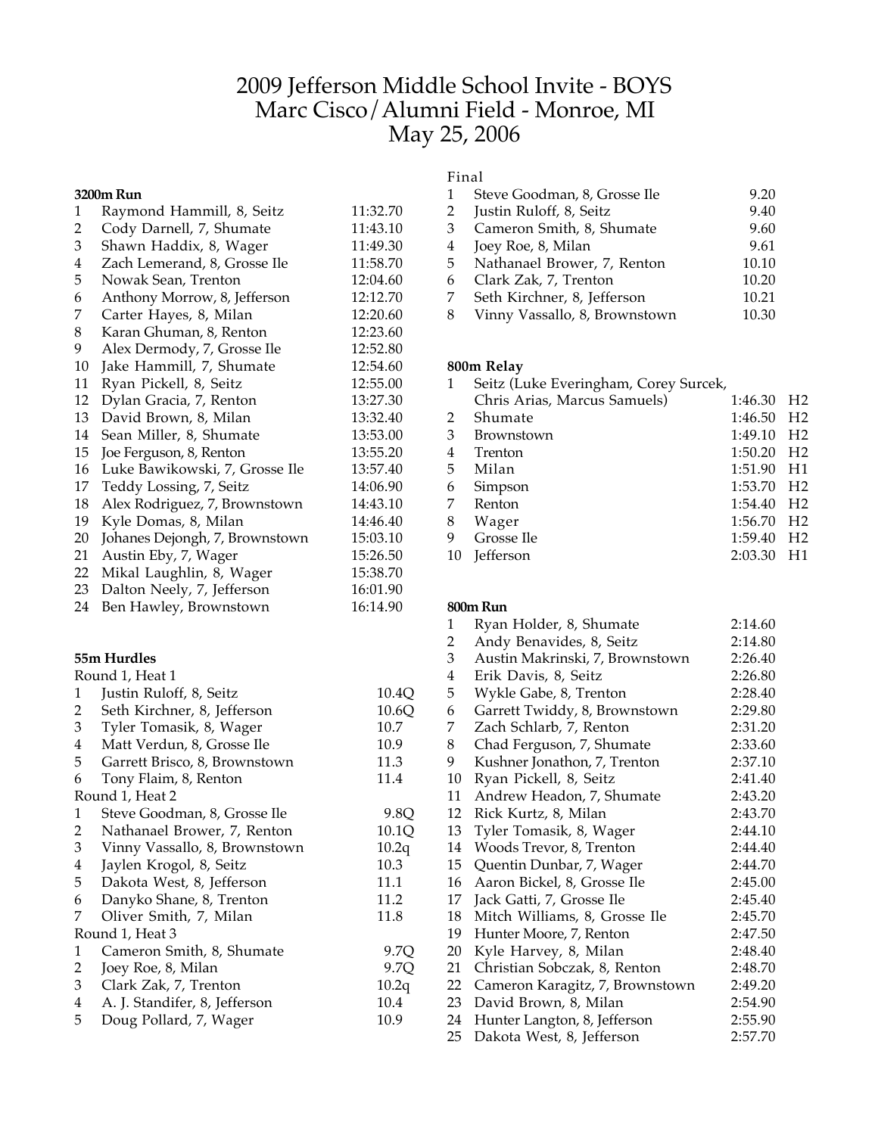# 2009 Jefferson Middle School Invite - BOYS Marc Cisco/Alumni Field - Monroe, MI May 25, 2006

#### **3200m Run**

| $\mathbf{1}$ | Raymond Hammill, 8, Seitz      | 11:32.70 |
|--------------|--------------------------------|----------|
| 2            | Cody Darnell, 7, Shumate       | 11:43.10 |
| 3            | Shawn Haddix, 8, Wager         | 11:49.30 |
| 4            | Zach Lemerand, 8, Grosse Ile   | 11:58.70 |
| 5            | Nowak Sean, Trenton            | 12:04.60 |
| 6            | Anthony Morrow, 8, Jefferson   | 12:12.70 |
| 7            | Carter Hayes, 8, Milan         | 12:20.60 |
| 8            | Karan Ghuman, 8, Renton        | 12:23.60 |
| 9            | Alex Dermody, 7, Grosse Ile    | 12:52.80 |
| 10           | Jake Hammill, 7, Shumate       | 12:54.60 |
| 11           | Ryan Pickell, 8, Seitz         | 12:55.00 |
| 12           | Dylan Gracia, 7, Renton        | 13:27.30 |
| 13           | David Brown, 8, Milan          | 13:32.40 |
| 14           | Sean Miller, 8, Shumate        | 13:53.00 |
| 15           | Joe Ferguson, 8, Renton        | 13:55.20 |
| 16           | Luke Bawikowski, 7, Grosse Ile | 13:57.40 |
| 17           | Teddy Lossing, 7, Seitz        | 14:06.90 |
| 18           | Alex Rodriguez, 7, Brownstown  | 14:43.10 |
| 19           | Kyle Domas, 8, Milan           | 14:46.40 |
| 20           | Johanes Dejongh, 7, Brownstown | 15:03.10 |
| 21           | Austin Eby, 7, Wager           | 15:26.50 |
| 22           | Mikal Laughlin, 8, Wager       | 15:38.70 |
| 23           | Dalton Neely, 7, Jefferson     | 16:01.90 |
| 24           | Ben Hawley, Brownstown         | 16:14.90 |

#### **55m Hurdles**

|                | Round 1, Heat 1               |       |
|----------------|-------------------------------|-------|
| 1              | Justin Ruloff, 8, Seitz       | 10.4Q |
| 2              | Seth Kirchner, 8, Jefferson   | 10.6Q |
| 3              | Tyler Tomasik, 8, Wager       | 10.7  |
| 4              | Matt Verdun, 8, Grosse Ile    | 10.9  |
| 5              | Garrett Brisco, 8, Brownstown | 11.3  |
| 6              | Tony Flaim, 8, Renton         | 11.4  |
|                | Round 1, Heat 2               |       |
| 1              | Steve Goodman, 8, Grosse Ile  | 9.8Q  |
| 2              | Nathanael Brower, 7, Renton   | 10.1Q |
| 3              | Vinny Vassallo, 8, Brownstown | 10.2q |
| $\overline{4}$ | Jaylen Krogol, 8, Seitz       | 10.3  |
| 5              | Dakota West, 8, Jefferson     | 11.1  |
| 6              | Danyko Shane, 8, Trenton      | 11.2  |
| 7              | Oliver Smith, 7, Milan        | 11.8  |
|                | Round 1, Heat 3               |       |
| 1              | Cameron Smith, 8, Shumate     | 9.7Q  |
| 2              | Joey Roe, 8, Milan            | 9.7O  |
| 3              | Clark Zak, 7, Trenton         | 10.2q |
| 4              | A. J. Standifer, 8, Jefferson | 10.4  |
| 5              | Doug Pollard, 7, Wager        | 10.9  |

## Final

|   | Steve Goodman, 8, Grosse Ile  | 9.20  |
|---|-------------------------------|-------|
| 2 | Justin Ruloff, 8, Seitz       | 9.40  |
| 3 | Cameron Smith, 8, Shumate     | 9.60  |
| 4 | Joey Roe, 8, Milan            | 9.61  |
| 5 | Nathanael Brower, 7, Renton   | 10.10 |
| 6 | Clark Zak, 7, Trenton         | 10.20 |
| 7 | Seth Kirchner, 8, Jefferson   | 10.21 |
| 8 | Vinny Vassallo, 8, Brownstown | 10.30 |

### **800m Relay**

| $\mathbf{1}$ | Seitz (Luke Everingham, Corey Surcek, |                          |                |
|--------------|---------------------------------------|--------------------------|----------------|
|              | Chris Arias, Marcus Samuels)          | 1:46.30 H2               |                |
|              | 2 Shumate                             | $1:46.50$ H <sub>2</sub> |                |
|              | 3 Brownstown                          | 1:49.10 H <sub>2</sub>   |                |
| 4            | Trenton                               | $1:50.20$ H <sub>2</sub> |                |
| 5            | Milan                                 | 1:51.90 H1               |                |
| 6            | Simpson                               | 1:53.70 H2               |                |
| 7            | Renton                                | 1:54.40 H <sub>2</sub>   |                |
| 8            | Wager                                 | 1:56.70 H <sub>2</sub>   |                |
| 9.           | Grosse Ile                            | 1:59.40                  | H <sub>2</sub> |
| 10           | Jefferson                             | 2:03.30 H1               |                |

#### **800m Run**

| 1  | Ryan Holder, 8, Shumate         | 2:14.60 |
|----|---------------------------------|---------|
| 2  | Andy Benavides, 8, Seitz        | 2:14.80 |
| 3  | Austin Makrinski, 7, Brownstown | 2:26.40 |
| 4  | Erik Davis, 8, Seitz            | 2:26.80 |
| 5  | Wykle Gabe, 8, Trenton          | 2:28.40 |
| 6  | Garrett Twiddy, 8, Brownstown   | 2:29.80 |
| 7  | Zach Schlarb, 7, Renton         | 2:31.20 |
| 8  | Chad Ferguson, 7, Shumate       | 2:33.60 |
| 9  | Kushner Jonathon, 7, Trenton    | 2:37.10 |
| 10 | Ryan Pickell, 8, Seitz          | 2:41.40 |
| 11 | Andrew Headon, 7, Shumate       | 2:43.20 |
| 12 | Rick Kurtz, 8, Milan            | 2:43.70 |
| 13 | Tyler Tomasik, 8, Wager         | 2:44.10 |
| 14 | Woods Trevor, 8, Trenton        | 2:44.40 |
| 15 | Quentin Dunbar, 7, Wager        | 2:44.70 |
| 16 | Aaron Bickel, 8, Grosse Ile     | 2:45.00 |
| 17 | Jack Gatti, 7, Grosse Ile       | 2:45.40 |
| 18 | Mitch Williams, 8, Grosse Ile   | 2:45.70 |
| 19 | Hunter Moore, 7, Renton         | 2:47.50 |
| 20 | Kyle Harvey, 8, Milan           | 2:48.40 |
| 21 | Christian Sobczak, 8, Renton    | 2:48.70 |
| 22 | Cameron Karagitz, 7, Brownstown | 2:49.20 |
| 23 | David Brown, 8, Milan           | 2:54.90 |
| 24 | Hunter Langton, 8, Jefferson    | 2:55.90 |
| 25 | Dakota West, 8, Jefferson       | 2:57.70 |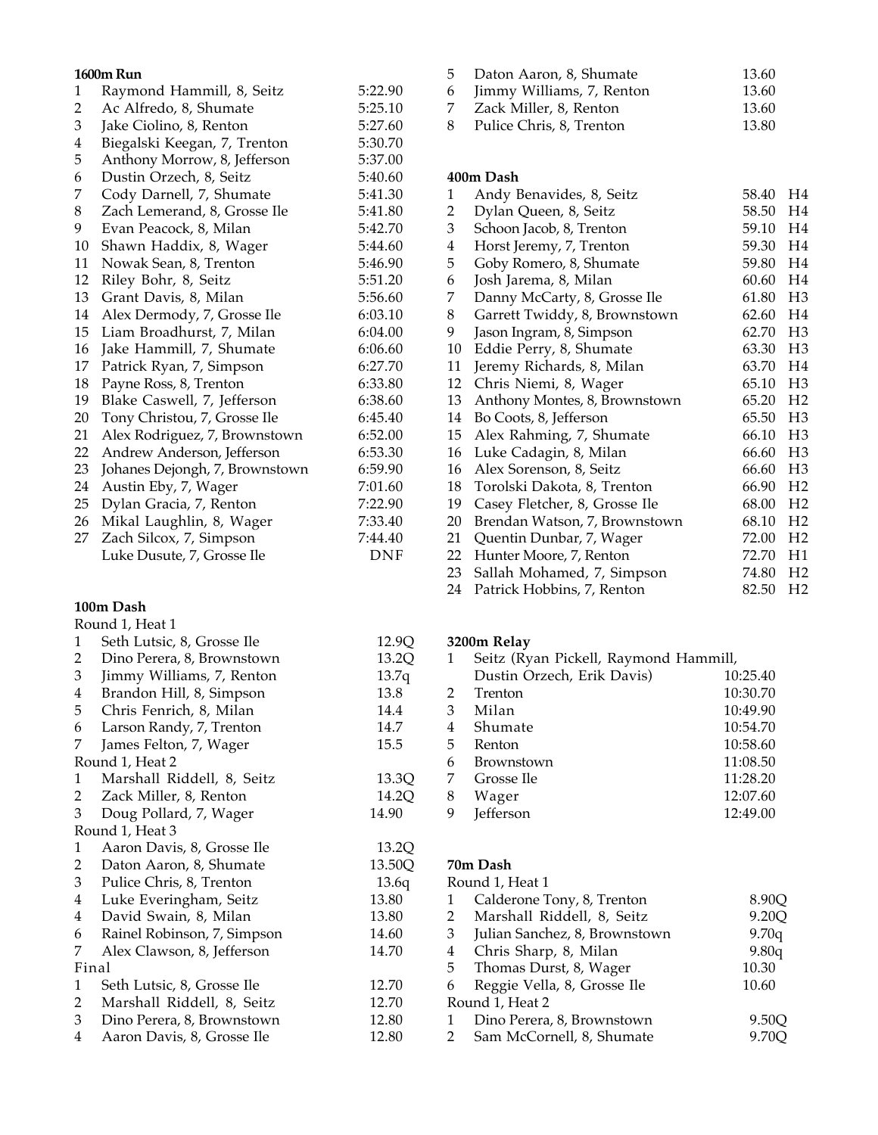#### **1600m Run**

| $\mathbf{1}$ | Raymond Hammill, 8, Seitz      | 5:22.90 |
|--------------|--------------------------------|---------|
| 2            | Ac Alfredo, 8, Shumate         | 5:25.10 |
| 3            | Jake Ciolino, 8, Renton        | 5:27.60 |
| 4            | Biegalski Keegan, 7, Trenton   | 5:30.70 |
| 5            | Anthony Morrow, 8, Jefferson   | 5:37.00 |
| 6            | Dustin Orzech, 8, Seitz        | 5:40.60 |
| 7            | Cody Darnell, 7, Shumate       | 5:41.30 |
| 8            | Zach Lemerand, 8, Grosse Ile   | 5:41.80 |
| 9            | Evan Peacock, 8, Milan         | 5:42.70 |
| 10           | Shawn Haddix, 8, Wager         | 5:44.60 |
| 11           | Nowak Sean, 8, Trenton         | 5:46.90 |
| 12           | Riley Bohr, 8, Seitz           | 5:51.20 |
| 13           | Grant Davis, 8, Milan          | 5:56.60 |
| 14           | Alex Dermody, 7, Grosse Ile    | 6:03.10 |
| 15           | Liam Broadhurst, 7, Milan      | 6:04.00 |
| 16           | Jake Hammill, 7, Shumate       | 6:06.60 |
| 17           | Patrick Ryan, 7, Simpson       | 6:27.70 |
| 18           | Payne Ross, 8, Trenton         | 6:33.80 |
| 19           | Blake Caswell, 7, Jefferson    | 6:38.60 |
| 20           | Tony Christou, 7, Grosse Ile   | 6:45.40 |
| 21           | Alex Rodriguez, 7, Brownstown  | 6:52.00 |
| 22           | Andrew Anderson, Jefferson     | 6:53.30 |
| 23           | Johanes Dejongh, 7, Brownstown | 6:59.90 |
| 24           | Austin Eby, 7, Wager           | 7:01.60 |
| 25           | Dylan Gracia, 7, Renton        | 7:22.90 |
| 26           | Mikal Laughlin, 8, Wager       | 7:33.40 |
| 27           | Zach Silcox, 7, Simpson        | 7:44.40 |
|              | Luke Dusute, 7, Grosse Ile     | DNF     |

## **100m Dash**

|                         | Round 1, Heat 1             |       |
|-------------------------|-----------------------------|-------|
| 1                       | Seth Lutsic, 8, Grosse Ile  | 12.9  |
| 2                       | Dino Perera, 8, Brownstown  | 13.2  |
| 3                       | Jimmy Williams, 7, Renton   | 13.7  |
| 4                       | Brandon Hill, 8, Simpson    | 13.8  |
| 5                       | Chris Fenrich, 8, Milan     | 14.4  |
| 6                       | Larson Randy, 7, Trenton    | 14.7  |
| 7                       | James Felton, 7, Wager      | 15.5  |
|                         | Round 1, Heat 2             |       |
| 1                       | Marshall Riddell, 8, Seitz  | 13.3  |
| 2                       | Zack Miller, 8, Renton      | 14.2  |
| 3                       | Doug Pollard, 7, Wager      | 14.90 |
|                         | Round 1, Heat 3             |       |
| 1                       | Aaron Davis, 8, Grosse Ile  | 13.2  |
| 2                       | Daton Aaron, 8, Shumate     | 13.50 |
| 3                       | Pulice Chris, 8, Trenton    | 13.6  |
| $\overline{\mathbf{4}}$ | Luke Everingham, Seitz      | 13.80 |
| 4                       | David Swain, 8, Milan       | 13.80 |
| 6                       | Rainel Robinson, 7, Simpson | 14.60 |
| 7                       | Alex Clawson, 8, Jefferson  | 14.70 |
| Final                   |                             |       |
| 1                       | Seth Lutsic, 8, Grosse Ile  | 12.70 |
| 2                       | Marshall Riddell, 8, Seitz  | 12.70 |
| 3                       | Dino Perera, 8, Brownstown  | 12.80 |
| 4                       | Aaron Davis, 8, Grosse Ile  | 12.80 |

| 5  | Daton Aaron, 8, Shumate   | 13.60 |
|----|---------------------------|-------|
| 6  | Jimmy Williams, 7, Renton | 13.60 |
|    | Zack Miller, 8, Renton    | 13.60 |
| -8 | Pulice Chris, 8, Trenton  | 13.80 |

#### **400m Dash**

| $\mathbf{1}$            | Andy Benavides, 8, Seitz      | 58.40 | H4             |
|-------------------------|-------------------------------|-------|----------------|
| $\overline{2}$          | Dylan Queen, 8, Seitz         | 58.50 | H <sub>4</sub> |
| 3                       | Schoon Jacob, 8, Trenton      | 59.10 | H <sub>4</sub> |
| $\overline{\mathbf{4}}$ | Horst Jeremy, 7, Trenton      | 59.30 | H4             |
| 5                       | Goby Romero, 8, Shumate       | 59.80 | H <sub>4</sub> |
| 6                       | Josh Jarema, 8, Milan         | 60.60 | H4             |
| 7                       | Danny McCarty, 8, Grosse Ile  | 61.80 | H <sub>3</sub> |
| 8                       | Garrett Twiddy, 8, Brownstown | 62.60 | H <sub>4</sub> |
| 9                       | Jason Ingram, 8, Simpson      | 62.70 | H <sub>3</sub> |
| 10                      | Eddie Perry, 8, Shumate       | 63.30 | H <sub>3</sub> |
| 11                      | Jeremy Richards, 8, Milan     | 63.70 | H <sub>4</sub> |
| 12                      | Chris Niemi, 8, Wager         | 65.10 | H <sub>3</sub> |
| 13                      | Anthony Montes, 8, Brownstown | 65.20 | H <sub>2</sub> |
| 14                      | Bo Coots, 8, Jefferson        | 65.50 | H <sub>3</sub> |
| 15                      | Alex Rahming, 7, Shumate      | 66.10 | H <sub>3</sub> |
| 16                      | Luke Cadagin, 8, Milan        | 66.60 | H <sub>3</sub> |
| 16                      | Alex Sorenson, 8, Seitz       | 66.60 | H <sub>3</sub> |
| 18                      | Torolski Dakota, 8, Trenton   | 66.90 | H <sub>2</sub> |
| 19                      | Casey Fletcher, 8, Grosse Ile | 68.00 | H <sub>2</sub> |
| 20                      | Brendan Watson, 7, Brownstown | 68.10 | H <sub>2</sub> |
| 21                      | Quentin Dunbar, 7, Wager      | 72.00 | H <sub>2</sub> |
| 22                      | Hunter Moore, 7, Renton       | 72.70 | H1             |
| 23                      | Sallah Mohamed, 7, Simpson    | 74.80 | H <sub>2</sub> |
| 24                      | Patrick Hobbins, 7, Renton    | 82.50 | H <sub>2</sub> |
|                         |                               |       |                |

# **3200m Relay**

12.9Q  $13.2\tilde{Q}$  $13.7q$ 

13.3Q  $14.2Q$  $14.90$ 

13.2Q  $13.50Q$  $13.6q$ <br> $13.80$ 

|   | Seitz (Ryan Pickell, Raymond Hammill, |          |  |
|---|---------------------------------------|----------|--|
|   | Dustin Orzech, Erik Davis)            | 10:25.40 |  |
| 2 | Trenton                               | 10:30.70 |  |
| 3 | Milan                                 | 10:49.90 |  |
| 4 | Shumate                               | 10:54.70 |  |
| 5 | Renton                                | 10:58.60 |  |
| 6 | <b>Brownstown</b>                     | 11:08.50 |  |
| 7 | Grosse Ile                            | 11:28.20 |  |
| 8 | Wager                                 | 12:07.60 |  |
| q | <b>Jefferson</b>                      | 12:49.00 |  |
|   |                                       |          |  |

### **70m Dash**

|    | Calderone Tony, 8, Trenton    | 8.90O                              |
|----|-------------------------------|------------------------------------|
| 2  | Marshall Riddell, 8, Seitz    | 9.20Q                              |
| 3  | Julian Sanchez, 8, Brownstown | 9.70q                              |
| 4  | Chris Sharp, 8, Milan         | 9.80q                              |
| 5. | Thomas Durst, 8, Wager        | 10.30                              |
| 6  | Reggie Vella, 8, Grosse Ile   | 10.60                              |
|    |                               |                                    |
|    | Dino Perera, 8, Brownstown    | 9.50O                              |
|    | Sam McCornell, 8, Shumate     |                                    |
|    |                               | Round 1, Heat 1<br>Round 1, Heat 2 |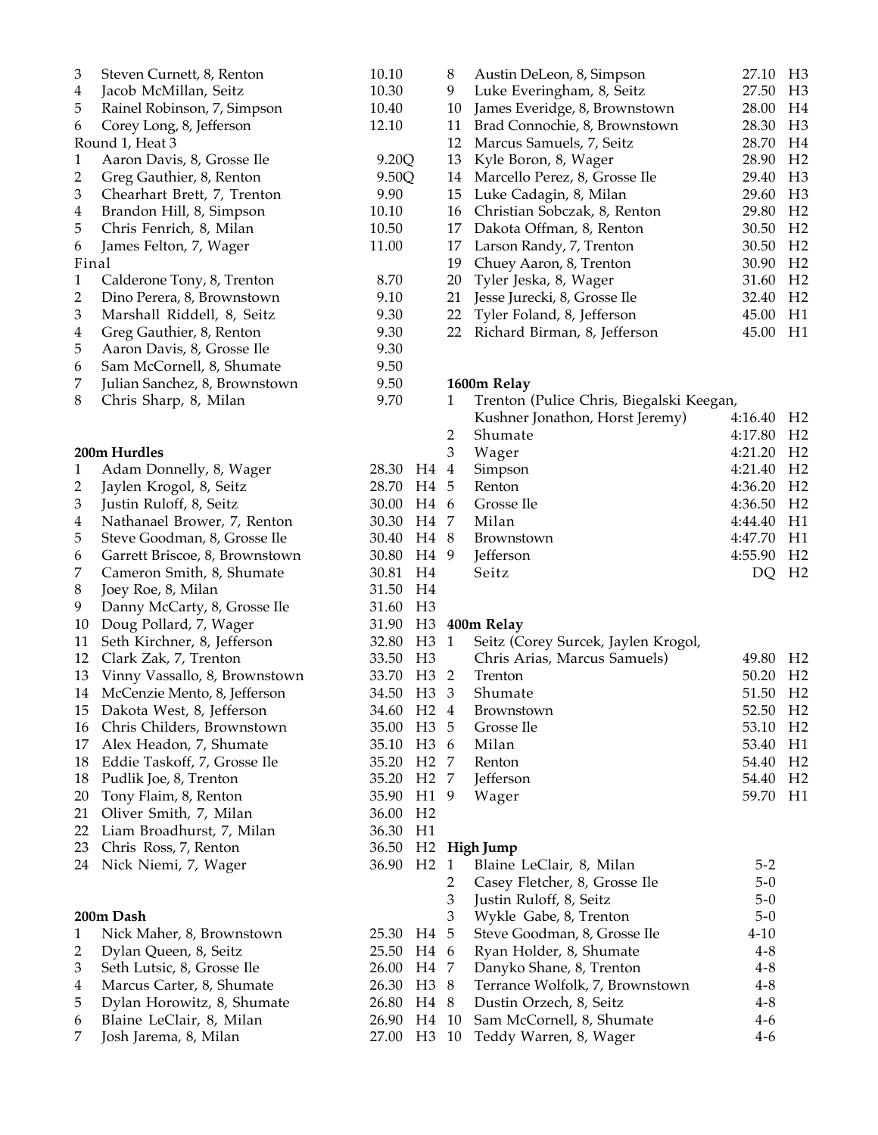| 3                       | Steven Curnett, 8, Renton                       | 10.10                  |                      | 8              | Austin DeLeon, 8, Simp                            |
|-------------------------|-------------------------------------------------|------------------------|----------------------|----------------|---------------------------------------------------|
| $\overline{\mathbf{4}}$ | Jacob McMillan, Seitz                           | 10.30                  |                      | 9              | Luke Everingham, 8, 9                             |
| 5                       | Rainel Robinson, 7, Simpson                     | 10.40                  |                      | 10             | James Everidge, 8, Brov                           |
| 6                       | Corey Long, 8, Jefferson                        | 12.10                  |                      | 11             | Brad Connochie, 8, Bro                            |
|                         | Round 1, Heat 3                                 |                        |                      | 12             | Marcus Samuels, 7, Se                             |
| $\mathbf{1}$            | Aaron Davis, 8, Grosse Ile                      | 9.20Q                  |                      |                | 13 Kyle Boron, 8, Wager                           |
| $\overline{c}$          | Greg Gauthier, 8, Renton                        | 9.50Q                  |                      | 14             | Marcello Perez, 8, Gro                            |
| $\mathfrak{Z}$          | Chearhart Brett, 7, Trenton                     | 9.90                   |                      |                | 15 Luke Cadagin, 8, Mila                          |
| $\overline{\mathbf{4}}$ | Brandon Hill, 8, Simpson                        | 10.10                  |                      |                | 16 Christian Sobczak, 8, I                        |
| 5                       | Chris Fenrich, 8, Milan                         | 10.50                  |                      | 17             | Dakota Offman, 8, Ren                             |
| 6                       | James Felton, 7, Wager                          | 11.00                  |                      |                | 17 Larson Randy, 7, Trent                         |
| Final                   |                                                 |                        |                      |                | 19 Chuey Aaron, 8, Trento                         |
| $\mathbf{1}$            | Calderone Tony, 8, Trenton                      | 8.70                   |                      | 20             | Tyler Jeska, 8, Wager                             |
| $\overline{c}$          | Dino Perera, 8, Brownstown                      | 9.10                   |                      | 21             | Jesse Jurecki, 8, Grosse                          |
| $\mathfrak{Z}$          | Marshall Riddell, 8, Seitz                      | 9.30                   |                      | 22             | Tyler Foland, 8, Jeffers                          |
| $\overline{\mathbf{4}}$ | Greg Gauthier, 8, Renton                        | 9.30                   |                      | 22             | Richard Birman, 8, Jef                            |
| 5                       | Aaron Davis, 8, Grosse Ile                      | 9.30                   |                      |                |                                                   |
| 6                       | Sam McCornell, 8, Shumate                       | 9.50                   |                      |                |                                                   |
| 7                       | Julian Sanchez, 8, Brownstown                   | 9.50                   |                      |                | 1600m Relay                                       |
| 8                       | Chris Sharp, 8, Milan                           | 9.70                   |                      | $\mathbf{1}$   | Trenton (Pulice Chris,                            |
|                         |                                                 |                        |                      |                | Kushner Jonathon, Ho                              |
|                         |                                                 |                        |                      | 2              | Shumate                                           |
|                         | 200m Hurdles                                    |                        |                      | 3              | Wager                                             |
| $\mathbf{1}$            | Adam Donnelly, 8, Wager                         | 28.30 H4               |                      | $\overline{4}$ | Simpson                                           |
| $\overline{c}$          | Jaylen Krogol, 8, Seitz                         | 28.70 H4               |                      | 5              | Renton                                            |
| 3                       | Justin Ruloff, 8, Seitz                         | 30.00 H4 6             |                      |                | Grosse Ile                                        |
| $\overline{4}$          | Nathanael Brower, 7, Renton                     | 30.30 H4               |                      | 7              | Milan                                             |
| 5                       | Steve Goodman, 8, Grosse Ile                    | 30.40 H4 8             |                      |                | <b>Brownstown</b>                                 |
| 6                       | Garrett Briscoe, 8, Brownstown                  | 30.80 H4 9             |                      |                | Jefferson                                         |
| 7                       | Cameron Smith, 8, Shumate                       | 30.81                  | H <sub>4</sub>       |                | Seitz                                             |
| $\,8\,$                 | Joey Roe, 8, Milan                              | 31.50 H4               |                      |                |                                                   |
| 9                       | Danny McCarty, 8, Grosse Ile                    | 31.60 H3               |                      |                |                                                   |
| 10                      | Doug Pollard, 7, Wager                          |                        |                      |                | 31.90 H3 400m Relay                               |
| 11                      | Seth Kirchner, 8, Jefferson                     | 32.80 H3               |                      | $\mathbf{1}$   | Seitz (Corey Surcek, Ja                           |
| 12                      | Clark Zak, 7, Trenton                           | 33.50 H3               |                      |                | Chris Arias, Marcus S                             |
| 13                      | Vinny Vassallo, 8, Brownstown                   | 33.70 H3 2             |                      |                | Trenton                                           |
| 14                      | McCenzie Mento, 8, Jefferson                    | 34.50                  | H3                   | $\mathbf{3}$   | Shumate                                           |
|                         | 15 Dakota West, 8, Jefferson                    | 34.60 H2 4             |                      |                | Brownstown                                        |
|                         | 16 Chris Childers, Brownstown                   | 35.00 H3 5             |                      |                | Grosse Ile                                        |
| 17                      | Alex Headon, 7, Shumate                         | 35.10 H3 6             |                      |                | Milan                                             |
| 18                      | Eddie Taskoff, 7, Grosse Ile                    | 35.20 H <sub>2</sub> 7 |                      |                | Renton                                            |
| 18                      | Pudlik Joe, 8, Trenton                          | 35.20 H <sub>2</sub> 7 |                      |                | Jefferson                                         |
| 20<br>21                | Tony Flaim, 8, Renton<br>Oliver Smith, 7, Milan | 35.90<br>36.00         | H1<br>H <sub>2</sub> | 9              | Wager                                             |
| 22                      |                                                 | 36.30                  | H1                   |                |                                                   |
| 23                      | Liam Broadhurst, 7, Milan                       | 36.50                  |                      |                | H <sub>2</sub> High Jump                          |
| 24                      | Chris Ross, 7, Renton                           | 36.90                  | H <sub>2</sub>       | $\mathbf{1}$   |                                                   |
|                         | Nick Niemi, 7, Wager                            |                        |                      | 2              | Blaine LeClair, 8, Mil                            |
|                         |                                                 |                        |                      | 3              | Casey Fletcher, 8, Gro<br>Justin Ruloff, 8, Seitz |
|                         | 200m Dash                                       |                        |                      | 3              | Wykle Gabe, 8, Trento                             |
| $\mathbf{1}$            | Nick Maher, 8, Brownstown                       | 25.30                  | H4                   | 5              | Steve Goodman, 8, Gro                             |
| 2                       | Dylan Queen, 8, Seitz                           | 25.50                  | H4                   | 6              | Ryan Holder, 8, Shum                              |
| 3                       | Seth Lutsic, 8, Grosse Ile                      | 26.00 H4               |                      | 7              | Danyko Shane, 8, Tren                             |
| 4                       | Marcus Carter, 8, Shumate                       | 26.30 H3               |                      | 8              | Terrance Wolfolk, 7, B                            |
| 5                       | Dylan Horowitz, 8, Shumate                      | 26.80                  | H4                   | 8              | Dustin Orzech, 8, Seit:                           |
| 6                       | Blaine LeClair, 8, Milan                        | 26.90                  | H4                   | 10             | Sam McCornell, 8, Shu                             |
| 7                       | Josh Jarema, 8, Milan                           | 27.00                  | H <sub>3</sub>       | 10             | Teddy Warren, 8, Wag                              |
|                         |                                                 |                        |                      |                |                                                   |

| 8     | Austin DeLeon, 8, Simpson                       | 27.10   | H <sub>3</sub> |
|-------|-------------------------------------------------|---------|----------------|
| 9     | Luke Everingham, 8, Seitz                       | 27.50   | H <sub>3</sub> |
| 10    | James Everidge, 8, Brownstown                   | 28.00   | H4             |
| 11    | Brad Connochie, 8, Brownstown                   | 28.30   | H <sub>3</sub> |
| 12    | Marcus Samuels, 7, Seitz                        | 28.70   | H4             |
| 13    | Kyle Boron, 8, Wager                            | 28.90   | H <sub>2</sub> |
| 14    | Marcello Perez, 8, Grosse Ile                   | 29.40   | H <sub>3</sub> |
| 15    | Luke Cadagin, 8, Milan                          | 29.60   | H <sub>3</sub> |
| 16    | Christian Sobczak, 8, Renton                    | 29.80   | H <sub>2</sub> |
| 17    | Dakota Offman, 8, Renton                        | 30.50   | H <sub>2</sub> |
| 17    | Larson Randy, 7, Trenton                        | 30.50   | H <sub>2</sub> |
| 19    | Chuey Aaron, 8, Trenton                         | 30.90   | H <sub>2</sub> |
| 20    | Tyler Jeska, 8, Wager                           | 31.60   | H <sub>2</sub> |
| 21    | Jesse Jurecki, 8, Grosse Ile                    | 32.40   | H <sub>2</sub> |
| 22    | Tyler Foland, 8, Jefferson                      | 45.00   | H1             |
| 22    | Richard Birman, 8, Jefferson                    | 45.00   | H1             |
|       |                                                 |         |                |
|       | 1600m Relay                                     |         |                |
| $1\,$ | Trenton (Pulice Chris, Biegalski Keegan,        |         |                |
|       | Kushner Jonathon, Horst Jeremy)                 | 4:16.40 | H <sub>2</sub> |
| ⌒     | $Ch1$ $\rightarrow$ $\rightarrow$ $\rightarrow$ | 1.1700  | புറ            |

|   | NUSHIRE JOHALHOIL, HOTSU JETEIIIV) | 4.10.40                  | $\Gamma$       |
|---|------------------------------------|--------------------------|----------------|
| 2 | Shumate                            | 4:17.80 H <sub>2</sub>   |                |
| 3 | Wager                              | 4:21.20 H <sub>2</sub>   |                |
| 4 | Simpson                            | 4:21.40 H <sub>2</sub>   |                |
| 5 | Renton                             | $4:36.20$ H <sub>2</sub> |                |
| 6 | Grosse Ile                         | 4:36.50 H <sub>2</sub>   |                |
| 7 | Milan                              | $4:44.40$ H <sub>1</sub> |                |
| 8 | <b>Brownstown</b>                  | 4:47.70 H1               |                |
| 9 | Jefferson                          | 4:55.90                  | H <sub>2</sub> |
|   | Seitz                              |                          | H <sub>2</sub> |
|   |                                    |                          |                |

| H3 1             | Seitz (Corey Surcek, Jaylen Krogol, |       |                |
|------------------|-------------------------------------|-------|----------------|
| H3               | Chris Arias, Marcus Samuels)        | 49.80 | H <sub>2</sub> |
| H3 2             | Trenton                             | 50.20 | H <sub>2</sub> |
| H3 3             | Shumate                             | 51.50 | H <sub>2</sub> |
| H <sub>2</sub> 4 | <b>Brownstown</b>                   | 52.50 | H <sub>2</sub> |
| H3 5             | Grosse Ile                          | 53.10 | H <sub>2</sub> |
| H3 6             | Milan                               | 53.40 | H1             |
| H2 7             | Renton                              | 54.40 | H <sub>2</sub> |
| H2 7             | Jefferson                           | 54.40 | H <sub>2</sub> |
| H1 9             | Wager                               | 59.70 | H1             |
|                  |                                     |       |                |

|   |                |     | $\cdots$ $\cdots$               |          |
|---|----------------|-----|---------------------------------|----------|
| 0 | H <sub>2</sub> |     | Blaine LeClair, 8, Milan        | $5-2$    |
|   |                | 2   | Casey Fletcher, 8, Grosse Ile   | $5-0$    |
|   |                | 3   | Justin Ruloff, 8, Seitz         | $5-0$    |
|   |                | 3   | Wykle Gabe, 8, Trenton          | $5-0$    |
|   | 0 H4 5         |     | Steve Goodman, 8, Grosse Ile    | $4 - 10$ |
|   | 0 H4 6         |     | Ryan Holder, 8, Shumate         | $4 - 8$  |
|   | 0 H4 7         |     | Danyko Shane, 8, Trenton        | $4 - 8$  |
|   | 0 H3 8         |     | Terrance Wolfolk, 7, Brownstown | $4 - 8$  |
|   | 0 H4           | - 8 | Dustin Orzech, 8, Seitz         | $4 - 8$  |
| 0 | H4 10          |     | Sam McCornell, 8, Shumate       | $4 - 6$  |
|   | 0 H3 10        |     | Teddy Warren, 8, Wager          | $4-6$    |
|   |                |     |                                 |          |